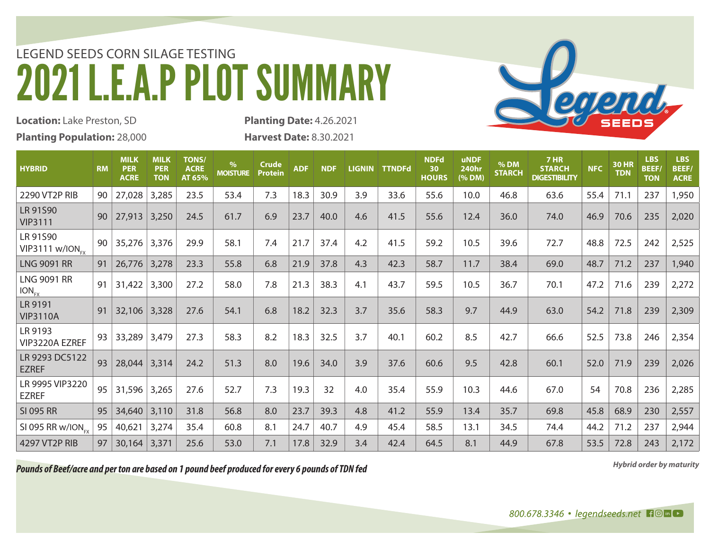## LEGEND SEEDS CORN SILAGE TESTING 2021 L.E.A.P PLOT SUMMARY

**Location:** Lake Preston, SD **Planting Population:** 28,000 **Planting Date:** 4.26.2021 **Harvest Date:** 8.30.2021

| <b>HYBRID</b>                             | <b>RM</b> | <b>MILK</b><br><b>PER</b><br><b>ACRE</b> | <b>MILK</b><br><b>PER</b><br><b>TON</b> | <b>TONS/</b><br><b>ACRE</b><br>AT 65% | $\%$<br><b>MOISTURE</b> | <b>Crude</b><br><b>Protein</b> | <b>ADF</b> | <b>NDF</b> | <b>LIGNIN</b> | <b>TTNDFd</b> | <b>NDFd</b><br>30<br><b>HOURS</b> | <b>uNDF</b><br><b>240hr</b><br>(% DM) | % DM<br><b>STARCH</b> | <b>7 HR</b><br><b>STARCH</b><br><b>DIGESTIBILITY</b> | <b>NFC</b> | <b>30 HR</b><br><b>TDN</b> | <b>LBS</b><br><b>BEEF/</b><br><b>TON</b> | <b>LBS</b><br><b>BEEF/</b><br><b>ACRE</b> |
|-------------------------------------------|-----------|------------------------------------------|-----------------------------------------|---------------------------------------|-------------------------|--------------------------------|------------|------------|---------------|---------------|-----------------------------------|---------------------------------------|-----------------------|------------------------------------------------------|------------|----------------------------|------------------------------------------|-------------------------------------------|
| 2290 VT2P RIB                             | 90        | 27,028                                   | 3,285                                   | 23.5                                  | 53.4                    | 7.3                            | 18.3       | 30.9       | 3.9           | 33.6          | 55.6                              | 10.0                                  | 46.8                  | 63.6                                                 | 55.4       | 71.1                       | 237                                      | 1,950                                     |
| LR 91S90<br><b>VIP3111</b>                | 90        | 27,913                                   | 3,250                                   | 24.5                                  | 61.7                    | 6.9                            | 23.7       | 40.0       | 4.6           | 41.5          | 55.6                              | 12.4                                  | 36.0                  | 74.0                                                 | 46.9       | 70.6                       | 235                                      | 2,020                                     |
| LR 91S90<br>$VIP3111$ w/ION <sub>FX</sub> | 90        | 35,276                                   | 3,376                                   | 29.9                                  | 58.1                    | 7.4                            | 21.7       | 37.4       | 4.2           | 41.5          | 59.2                              | 10.5                                  | 39.6                  | 72.7                                                 | 48.8       | 72.5                       | 242                                      | 2,525                                     |
| <b>LNG 9091 RR</b>                        | 91        | 26,776                                   | 3,278                                   | 23.3                                  | 55.8                    | 6.8                            | 21.9       | 37.8       | 4.3           | 42.3          | 58.7                              | 11.7                                  | 38.4                  | 69.0                                                 | 48.7       | 71.2                       | 237                                      | 1,940                                     |
| <b>LNG 9091 RR</b><br>$ION_{FX}$          | 91        | 31,422                                   | 3,300                                   | 27.2                                  | 58.0                    | 7.8                            | 21.3       | 38.3       | 4.1           | 43.7          | 59.5                              | 10.5                                  | 36.7                  | 70.1                                                 | 47.2       | 71.6                       | 239                                      | 2,272                                     |
| LR 9191<br><b>VIP3110A</b>                | 91        | 32,106 3,328                             |                                         | 27.6                                  | 54.1                    | 6.8                            | 18.2       | 32.3       | 3.7           | 35.6          | 58.3                              | 9.7                                   | 44.9                  | 63.0                                                 | 54.2       | 71.8                       | 239                                      | 2,309                                     |
| LR 9193<br>VIP3220A EZREF                 | 93        | 33,289                                   | 3,479                                   | 27.3                                  | 58.3                    | 8.2                            | 18.3       | 32.5       | 3.7           | 40.1          | 60.2                              | 8.5                                   | 42.7                  | 66.6                                                 | 52.5       | 73.8                       | 246                                      | 2,354                                     |
| LR 9293 DC5122<br><b>EZREF</b>            | 93        | 28,044                                   | 3,314                                   | 24.2                                  | 51.3                    | 8.0                            | 19.6       | 34.0       | 3.9           | 37.6          | 60.6                              | 9.5                                   | 42.8                  | 60.1                                                 | 52.0       | 71.9                       | 239                                      | 2,026                                     |
| LR 9995 VIP3220<br><b>EZREF</b>           | 95        | 31,596                                   | 3,265                                   | 27.6                                  | 52.7                    | 7.3                            | 19.3       | 32         | 4.0           | 35.4          | 55.9                              | 10.3                                  | 44.6                  | 67.0                                                 | 54         | 70.8                       | 236                                      | 2,285                                     |
| <b>SI 095 RR</b>                          | 95        | 34,640                                   | 3,110                                   | 31.8                                  | 56.8                    | 8.0                            | 23.7       | 39.3       | 4.8           | 41.2          | 55.9                              | 13.4                                  | 35.7                  | 69.8                                                 | 45.8       | 68.9                       | 230                                      | 2,557                                     |
| SI 095 RR w/ION <sub>FX</sub>             | 95        | 40,621                                   | 3,274                                   | 35.4                                  | 60.8                    | 8.1                            | 24.7       | 40.7       | 4.9           | 45.4          | 58.5                              | 13.1                                  | 34.5                  | 74.4                                                 | 44.2       | 71.2                       | 237                                      | 2,944                                     |
| 4297 VT2P RIB                             | 97        | 30,164                                   | 3,371                                   | 25.6                                  | 53.0                    | 7.1                            | 17.8       | 32.9       | 3.4           | 42.4          | 64.5                              | 8.1                                   | 44.9                  | 67.8                                                 | 53.5       | 72.8                       | 243                                      | 2,172                                     |

*Hybrid order by maturity Pounds of Beef/acre and per ton are based on 1 pound beef produced for every 6 pounds of TDN fed*

Segeral